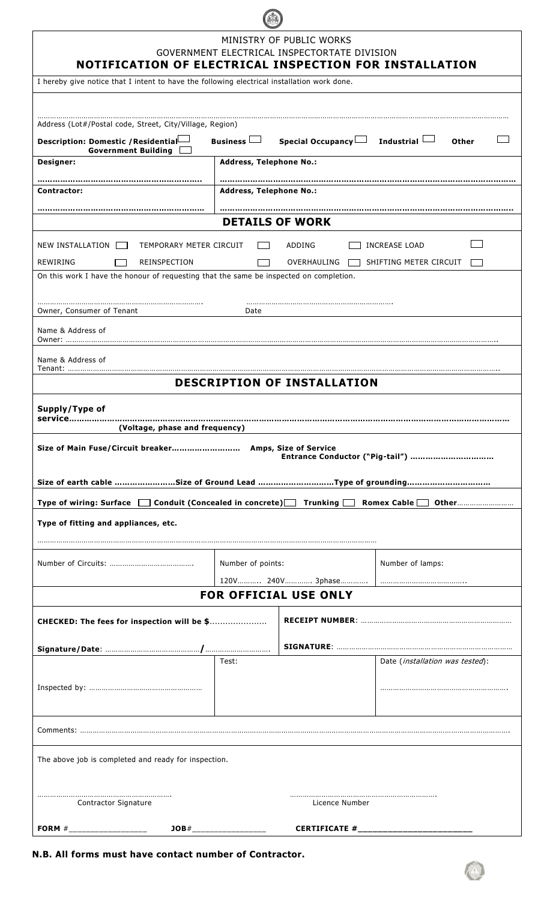| MINISTRY OF PUBLIC WORKS<br>GOVERNMENT ELECTRICAL INSPECTORTATE DIVISION<br>NOTIFICATION OF ELECTRICAL INSPECTION FOR INSTALLATION |                                                             |                                 |  |  |                                                                                             |  |  |  |  |
|------------------------------------------------------------------------------------------------------------------------------------|-------------------------------------------------------------|---------------------------------|--|--|---------------------------------------------------------------------------------------------|--|--|--|--|
|                                                                                                                                    |                                                             |                                 |  |  | I hereby give notice that I intent to have the following electrical installation work done. |  |  |  |  |
|                                                                                                                                    |                                                             |                                 |  |  |                                                                                             |  |  |  |  |
| Address (Lot#/Postal code, Street, City/Village, Region)                                                                           |                                                             |                                 |  |  |                                                                                             |  |  |  |  |
| Business $\Box$<br>Special Occupancy Industrial<br>Description: Domestic / Residential-<br>Other<br><b>Government Building</b>     |                                                             |                                 |  |  |                                                                                             |  |  |  |  |
| Designer:                                                                                                                          | <b>Address, Telephone No.:</b>                              |                                 |  |  |                                                                                             |  |  |  |  |
| Contractor:                                                                                                                        | <b>Address, Telephone No.:</b>                              |                                 |  |  |                                                                                             |  |  |  |  |
|                                                                                                                                    |                                                             |                                 |  |  |                                                                                             |  |  |  |  |
|                                                                                                                                    | <b>DETAILS OF WORK</b>                                      |                                 |  |  |                                                                                             |  |  |  |  |
| NEW INSTALLATION<br>TEMPORARY METER CIRCUIT                                                                                        | ADDING                                                      | INCREASE LOAD                   |  |  |                                                                                             |  |  |  |  |
| <b>REWIRING</b><br><b>REINSPECTION</b>                                                                                             | OVERHAULING                                                 | SHIFTING METER CIRCUIT          |  |  |                                                                                             |  |  |  |  |
| On this work I have the honour of requesting that the same be inspected on completion.                                             |                                                             |                                 |  |  |                                                                                             |  |  |  |  |
| Owner, Consumer of Tenant                                                                                                          | Date                                                        |                                 |  |  |                                                                                             |  |  |  |  |
| Name & Address of                                                                                                                  |                                                             |                                 |  |  |                                                                                             |  |  |  |  |
| Owner:                                                                                                                             |                                                             |                                 |  |  |                                                                                             |  |  |  |  |
| Name & Address of<br>Tenant:                                                                                                       |                                                             |                                 |  |  |                                                                                             |  |  |  |  |
|                                                                                                                                    | <b>DESCRIPTION OF INSTALLATION</b>                          |                                 |  |  |                                                                                             |  |  |  |  |
| Supply/Type of                                                                                                                     |                                                             |                                 |  |  |                                                                                             |  |  |  |  |
| (Voltage, phase and frequency)                                                                                                     |                                                             |                                 |  |  |                                                                                             |  |  |  |  |
|                                                                                                                                    |                                                             |                                 |  |  |                                                                                             |  |  |  |  |
|                                                                                                                                    |                                                             | Entrance Conductor ("Pig-tail") |  |  |                                                                                             |  |  |  |  |
|                                                                                                                                    |                                                             |                                 |  |  |                                                                                             |  |  |  |  |
| Type of wiring: Surface □ Conduit (Concealed in concrete)□ Trunking □ Romex Cable □ Other                                          |                                                             |                                 |  |  |                                                                                             |  |  |  |  |
| Type of fitting and appliances, etc.                                                                                               |                                                             |                                 |  |  |                                                                                             |  |  |  |  |
|                                                                                                                                    |                                                             |                                 |  |  |                                                                                             |  |  |  |  |
|                                                                                                                                    | Number of points:                                           | Number of lamps:                |  |  |                                                                                             |  |  |  |  |
|                                                                                                                                    | 120V 240V 3phase                                            |                                 |  |  |                                                                                             |  |  |  |  |
| FOR OFFICIAL USE ONLY                                                                                                              |                                                             |                                 |  |  |                                                                                             |  |  |  |  |
| CHECKED: The fees for inspection will be \$                                                                                        |                                                             |                                 |  |  |                                                                                             |  |  |  |  |
|                                                                                                                                    |                                                             |                                 |  |  |                                                                                             |  |  |  |  |
|                                                                                                                                    | Test:                                                       | Date (installation was tested): |  |  |                                                                                             |  |  |  |  |
|                                                                                                                                    |                                                             |                                 |  |  |                                                                                             |  |  |  |  |
|                                                                                                                                    |                                                             |                                 |  |  |                                                                                             |  |  |  |  |
|                                                                                                                                    |                                                             |                                 |  |  |                                                                                             |  |  |  |  |
|                                                                                                                                    |                                                             |                                 |  |  |                                                                                             |  |  |  |  |
| The above job is completed and ready for inspection.                                                                               |                                                             |                                 |  |  |                                                                                             |  |  |  |  |
|                                                                                                                                    |                                                             |                                 |  |  |                                                                                             |  |  |  |  |
|                                                                                                                                    |                                                             |                                 |  |  |                                                                                             |  |  |  |  |
| Contractor Signature                                                                                                               | Licence Number                                              |                                 |  |  |                                                                                             |  |  |  |  |
| FORM $\#$ ____________________                                                                                                     | $30B#$ ___________________<br>CERTIFICATE #________________ |                                 |  |  |                                                                                             |  |  |  |  |

**N.B. All forms must have contact number of Contractor.**